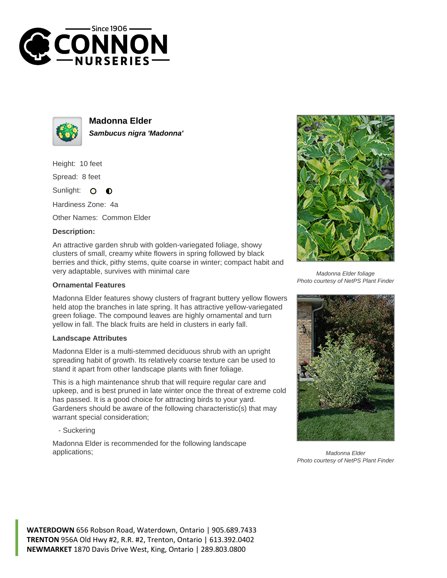



**Madonna Elder Sambucus nigra 'Madonna'**

Height: 10 feet

Spread: 8 feet

Sunlight: 0  $\bullet$ 

Hardiness Zone: 4a

Other Names: Common Elder

## **Description:**

An attractive garden shrub with golden-variegated foliage, showy clusters of small, creamy white flowers in spring followed by black berries and thick, pithy stems, quite coarse in winter; compact habit and very adaptable, survives with minimal care

## **Ornamental Features**

Madonna Elder features showy clusters of fragrant buttery yellow flowers held atop the branches in late spring. It has attractive yellow-variegated green foliage. The compound leaves are highly ornamental and turn yellow in fall. The black fruits are held in clusters in early fall.

## **Landscape Attributes**

Madonna Elder is a multi-stemmed deciduous shrub with an upright spreading habit of growth. Its relatively coarse texture can be used to stand it apart from other landscape plants with finer foliage.

This is a high maintenance shrub that will require regular care and upkeep, and is best pruned in late winter once the threat of extreme cold has passed. It is a good choice for attracting birds to your yard. Gardeners should be aware of the following characteristic(s) that may warrant special consideration;

- Suckering

Madonna Elder is recommended for the following landscape applications;



Madonna Elder foliage Photo courtesy of NetPS Plant Finder



Madonna Elder Photo courtesy of NetPS Plant Finder

**WATERDOWN** 656 Robson Road, Waterdown, Ontario | 905.689.7433 **TRENTON** 956A Old Hwy #2, R.R. #2, Trenton, Ontario | 613.392.0402 **NEWMARKET** 1870 Davis Drive West, King, Ontario | 289.803.0800